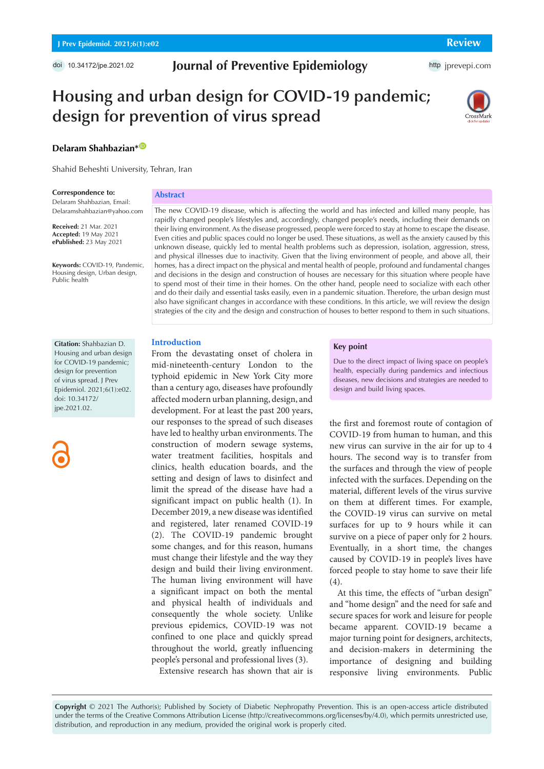doi [10.34172/jpe.2021.02](https://doi.org/10.34172/jpe.2021.02)

# **Journal of Preventive Epidemiology**

http [jprevepi.com](http://jprevepi.com)

# **Housing and urban design for COVID-19 pandemic; design for prevention of virus spread**



# **Delaram Shahbazian**\*<sup>0</sup>

Shahid Beheshti University, Tehran, Iran

#### **Correspondence to:**

Delaram Shahbazian, Email: Delaramshahbazian@yahoo.com

**Received:** 21 Mar. 2021 **Accepted:** 19 May 2021 **ePublished:** 23 May 2021

**Keywords:** COVID-19, Pandemic, Housing design, Urban design, Public health

**Citation:** Shahbazian D. Housing and urban design for COVID-19 pandemic; design for prevention of virus spread. J Prev Epidemiol. 2021;6(1):e02.

doi: 10.34172/ jpe.2021.02.

#### **Abstract**

The new COVID-19 disease, which is affecting the world and has infected and killed many people, has rapidly changed people's lifestyles and, accordingly, changed people's needs, including their demands on their living environment. As the disease progressed, people were forced to stay at home to escape the disease. Even cities and public spaces could no longer be used. These situations, as well as the anxiety caused by this unknown disease, quickly led to mental health problems such as depression, isolation, aggression, stress, and physical illnesses due to inactivity. Given that the living environment of people, and above all, their homes, has a direct impact on the physical and mental health of people, profound and fundamental changes and decisions in the design and construction of houses are necessary for this situation where people have to spend most of their time in their homes. On the other hand, people need to socialize with each other and do their daily and essential tasks easily, even in a pandemic situation. Therefore, the urban design must also have significant changes in accordance with these conditions. In this article, we will review the design strategies of the city and the design and construction of houses to better respond to them in such situations.

## **Introduction**

From the devastating onset of cholera in mid-nineteenth-century London to the typhoid epidemic in New York City more than a century ago, diseases have profoundly affected modern urban planning, design, and development. For at least the past 200 years, our responses to the spread of such diseases have led to healthy urban environments. The construction of modern sewage systems, water treatment facilities, hospitals and clinics, health education boards, and the setting and design of laws to disinfect and limit the spread of the disease have had a significant impact on public health (1). In December 2019, a new disease was identified and registered, later renamed COVID-19 )2(. The COVID-19 pandemic brought some changes, and for this reason, humans must change their lifestyle and the way they design and build their living environment. The human living environment will have a significant impact on both the mental and physical health of individuals and consequently the whole society. Unlike previous epidemics, COVID-19 was not confined to one place and quickly spread throughout the world, greatly influencing people's personal and professional lives (3).

Extensive research has shown that air is

## **Key point**

Due to the direct impact of living space on people's health, especially during pandemics and infectious diseases, new decisions and strategies are needed to design and build living spaces.

the first and foremost route of contagion of COVID-19 from human to human, and this new virus can survive in the air for up to 4 hours. The second way is to transfer from the surfaces and through the view of people infected with the surfaces. Depending on the material, different levels of the virus survive on them at different times. For example, the COVID-19 virus can survive on metal surfaces for up to 9 hours while it can survive on a piece of paper only for 2 hours. Eventually, in a short time, the changes caused by COVID-19 in people's lives have forced people to stay home to save their life (4).

At this time, the effects of "urban design" and "home design" and the need for safe and secure spaces for work and leisure for people became apparent. COVID-19 became a major turning point for designers, architects, and decision-makers in determining the importance of designing and building responsive living environments. Public

**Copyright** © 2021 The Author(s); Published by Society of Diabetic Nephropathy Prevention. This is an open-access article distributed under the terms of the Creative Commons Attribution License (http://creativecommons.org/licenses/by/4.0), which permits unrestricted use, distribution, and reproduction in any medium, provided the original work is properly cited.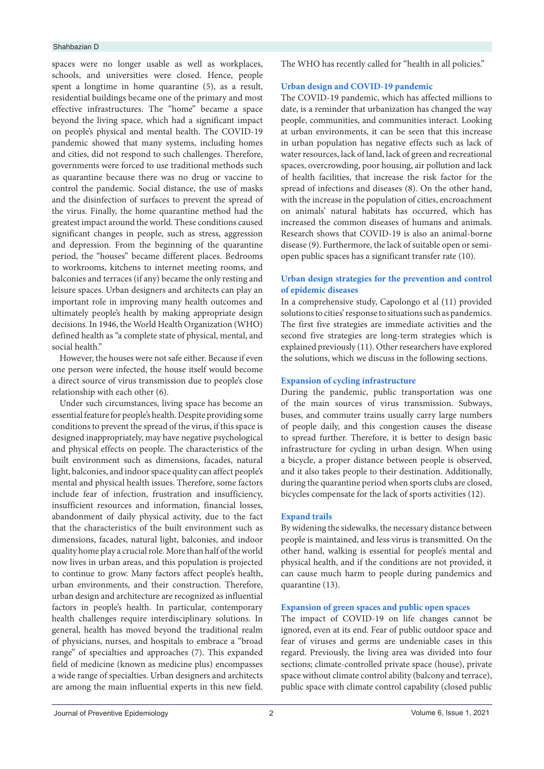#### Shahbazian D

spaces were no longer usable as well as workplaces, schools, and universities were closed. Hence, people spent a longtime in home quarantine (5), as a result, residential buildings became one of the primary and most effective infrastructures. The "home" became a space beyond the living space, which had a significant impact on people's physical and mental health. The COVID-19 pandemic showed that many systems, including homes and cities, did not respond to such challenges. Therefore, governments were forced to use traditional methods such as quarantine because there was no drug or vaccine to control the pandemic. Social distance, the use of masks and the disinfection of surfaces to prevent the spread of the virus. Finally, the home quarantine method had the greatest impact around the world. These conditions caused significant changes in people, such as stress, aggression and depression. From the beginning of the quarantine period, the "houses" became different places. Bedrooms to workrooms, kitchens to internet meeting rooms, and balconies and terraces (if any) became the only resting and leisure spaces. Urban designers and architects can play an important role in improving many health outcomes and ultimately people's health by making appropriate design decisions. In 1946, the World Health Organization (WHO) defined health as "a complete state of physical, mental, and social health"

However, the houses were not safe either. Because if even one person were infected, the house itself would become a direct source of virus transmission due to people's close relationship with each other (6).

Under such circumstances, living space has become an essential feature for people's health. Despite providing some conditions to prevent the spread of the virus, if this space is designed inappropriately, may have negative psychological and physical effects on people. The characteristics of the built environment such as dimensions, facades, natural light, balconies, and indoor space quality can affect people's mental and physical health issues. Therefore, some factors include fear of infection, frustration and insufficiency, insufficient resources and information, financial losses, abandonment of daily physical activity, due to the fact that the characteristics of the built environment such as dimensions, facades, natural light, balconies, and indoor quality home play a crucial role.More than half of the world now lives in urban areas, and this population is projected to continue to grow. Many factors affect people's health, urban environments, and their construction. Therefore, urban design and architecture are recognized as influential factors in people's health. In particular, contemporary health challenges require interdisciplinary solutions. In general, health has moved beyond the traditional realm of physicians, nurses, and hospitals to embrace a "broad range" of specialties and approaches (7). This expanded field of medicine (known as medicine plus) encompasses a wide range of specialties. Urban designers and architects are among the main influential experts in this new field.

The WHO has recently called for "health in all policies."

## **Urban design and COVID-19 pandemic**

The COVID-19 pandemic, which has affected millions to date, is a reminder that urbanization has changed the way people, communities, and communities interact. Looking at urban environments, it can be seen that this increase in urban population has negative effects such as lack of water resources, lack of land, lack of green and recreational spaces, overcrowding, poor housing, air pollution and lack of health facilities, that increase the risk factor for the spread of infections and diseases (8). On the other hand, with the increase in the population of cities, encroachment on animals' natural habitats has occurred, which has increased the common diseases of humans and animals. Research shows that COVID-19 is also an animal-borne disease (9). Furthermore, the lack of suitable open or semiopen public spaces has a significant transfer rate (10).

# **Urban design strategies for the prevention and control of epidemic diseases**

In a comprehensive study, Capolongo et al (11) provided solutions to cities' response to situations such as pandemics. The first five strategies are immediate activities and the second five strategies are long-term strategies which is explained previously (11). Other researchers have explored the solutions, which we discuss in the following sections.

## **Expansion of cycling infrastructure**

During the pandemic, public transportation was one of the main sources of virus transmission. Subways, buses, and commuter trains usually carry large numbers of people daily, and this congestion causes the disease to spread further. Therefore, it is better to design basic infrastructure for cycling in urban design. When using a bicycle, a proper distance between people is observed, and it also takes people to their destination. Additionally, during the quarantine period when sports clubs are closed, bicycles compensate for the lack of sports activities (12).

#### **Expand trails**

By widening the sidewalks, the necessary distance between people is maintained, and less virus is transmitted. On the other hand, walking is essential for people's mental and physical health, and if the conditions are not provided, it can cause much harm to people during pandemics and quarantine (13).

## **Expansion of green spaces and public open spaces**

The impact of COVID-19 on life changes cannot be ignored, even at its end. Fear of public outdoor space and fear of viruses and germs are undeniable cases in this regard. Previously, the living area was divided into four sections; climate-controlled private space (house), private space without climate control ability (balcony and terrace), public space with climate control capability (closed public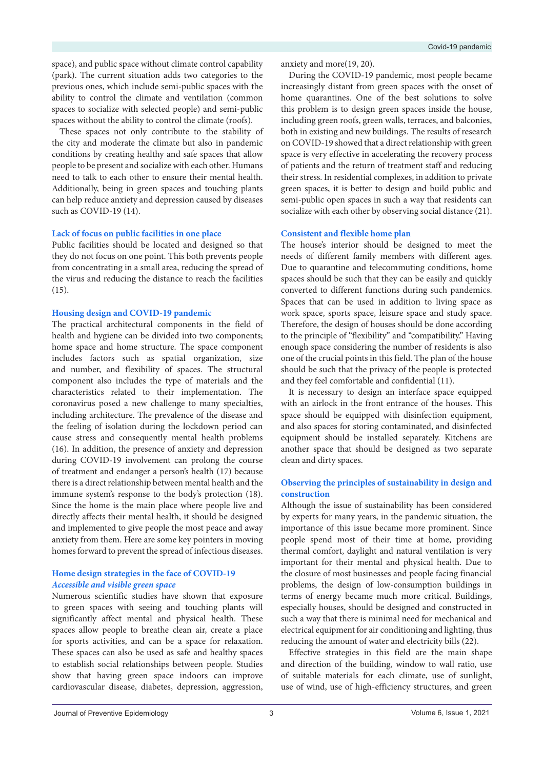space), and public space without climate control capability (park). The current situation adds two categories to the previous ones, which include semi-public spaces with the ability to control the climate and ventilation (common spaces to socialize with selected people) and semi-public spaces without the ability to control the climate (roofs).

These spaces not only contribute to the stability of the city and moderate the climate but also in pandemic conditions by creating healthy and safe spaces that allow people to be present and socialize with each other. Humans need to talk to each other to ensure their mental health. Additionally, being in green spaces and touching plants can help reduce anxiety and depression caused by diseases such as COVID-19 (14).

# **Lack of focus on public facilities in one place**

Public facilities should be located and designed so that they do not focus on one point. This both prevents people from concentrating in a small area, reducing the spread of the virus and reducing the distance to reach the facilities (15).

## **Housing design and COVID-19 pandemic**

The practical architectural components in the field of health and hygiene can be divided into two components; home space and home structure. The space component includes factors such as spatial organization, size and number, and flexibility of spaces. The structural component also includes the type of materials and the characteristics related to their implementation. The coronavirus posed a new challenge to many specialties, including architecture. The prevalence of the disease and the feeling of isolation during the lockdown period can cause stress and consequently mental health problems (16). In addition, the presence of anxiety and depression during COVID-19 involvement can prolong the course of treatment and endanger a person's health (17) because there is a direct relationship between mental health and the immune system's response to the body's protection (18). Since the home is the main place where people live and directly affects their mental health, it should be designed and implemented to give people the most peace and away anxiety from them. Here are some key pointers in moving homes forward to prevent the spread of infectious diseases.

# **Home design strategies in the face of COVID-19** *Accessible and visible green space*

Numerous scientific studies have shown that exposure to green spaces with seeing and touching plants will significantly affect mental and physical health. These spaces allow people to breathe clean air, create a place for sports activities, and can be a space for relaxation. These spaces can also be used as safe and healthy spaces to establish social relationships between people. Studies show that having green space indoors can improve cardiovascular disease, diabetes, depression, aggression,

anxiety and more(19, 20).

During the COVID-19 pandemic, most people became increasingly distant from green spaces with the onset of home quarantines. One of the best solutions to solve this problem is to design green spaces inside the house, including green roofs, green walls, terraces, and balconies, both in existing and new buildings. The results of research on COVID-19 showed that a direct relationship with green space is very effective in accelerating the recovery process of patients and the return of treatment staff and reducing their stress. In residential complexes, in addition to private green spaces, it is better to design and build public and semi-public open spaces in such a way that residents can socialize with each other by observing social distance (21).

# **Consistent and flexible home plan**

The house's interior should be designed to meet the needs of different family members with different ages. Due to quarantine and telecommuting conditions, home spaces should be such that they can be easily and quickly converted to different functions during such pandemics. Spaces that can be used in addition to living space as work space, sports space, leisure space and study space. Therefore, the design of houses should be done according to the principle of "flexibility" and "compatibility." Having enough space considering the number of residents is also one of the crucial points in this field. The plan of the house should be such that the privacy of the people is protected and they feel comfortable and confidential (11).

It is necessary to design an interface space equipped with an airlock in the front entrance of the houses. This space should be equipped with disinfection equipment, and also spaces for storing contaminated, and disinfected equipment should be installed separately. Kitchens are another space that should be designed as two separate clean and dirty spaces.

# **Observing the principles of sustainability in design and construction**

Although the issue of sustainability has been considered by experts for many years, in the pandemic situation, the importance of this issue became more prominent. Since people spend most of their time at home, providing thermal comfort, daylight and natural ventilation is very important for their mental and physical health. Due to the closure of most businesses and people facing financial problems, the design of low-consumption buildings in terms of energy became much more critical. Buildings, especially houses, should be designed and constructed in such a way that there is minimal need for mechanical and electrical equipment for air conditioning and lighting, thus reducing the amount of water and electricity bills (22).

Effective strategies in this field are the main shape and direction of the building, window to wall ratio, use of suitable materials for each climate, use of sunlight, use of wind, use of high-efficiency structures, and green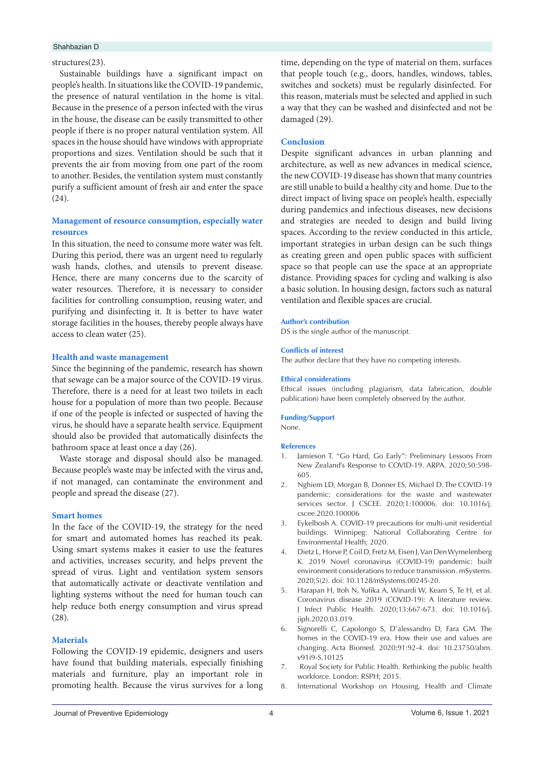#### Shahbazian D

#### structures(23).

Sustainable buildings have a significant impact on people's health. In situations like the COVID-19 pandemic, the presence of natural ventilation in the home is vital. Because in the presence of a person infected with the virus in the house, the disease can be easily transmitted to other people if there is no proper natural ventilation system. All spaces in the house should have windows with appropriate proportions and sizes. Ventilation should be such that it prevents the air from moving from one part of the room to another. Besides, the ventilation system must constantly purify a sufficient amount of fresh air and enter the space (24).

## **Management of resource consumption, especially water resources**

In this situation, the need to consume more water was felt. During this period, there was an urgent need to regularly wash hands, clothes, and utensils to prevent disease. Hence, there are many concerns due to the scarcity of water resources. Therefore, it is necessary to consider facilities for controlling consumption, reusing water, and purifying and disinfecting it. It is better to have water storage facilities in the houses, thereby people always have access to clean water (25).

## **Health and waste management**

Since the beginning of the pandemic, research has shown that sewage can be a major source of the COVID-19 virus. Therefore, there is a need for at least two toilets in each house for a population of more than two people. Because if one of the people is infected or suspected of having the virus, he should have a separate health service. Equipment should also be provided that automatically disinfects the bathroom space at least once a day (26).

Waste storage and disposal should also be managed. Because people's waste may be infected with the virus and, if not managed, can contaminate the environment and people and spread the disease (27).

## **Smart homes**

In the face of the COVID-19, the strategy for the need for smart and automated homes has reached its peak. Using smart systems makes it easier to use the features and activities, increases security, and helps prevent the spread of virus. Light and ventilation system sensors that automatically activate or deactivate ventilation and lighting systems without the need for human touch can help reduce both energy consumption and virus spread (28).

#### **Materials**

Following the COVID-19 epidemic, designers and users have found that building materials, especially finishing materials and furniture, play an important role in promoting health. Because the virus survives for a long

time, depending on the type of material on them, surfaces that people touch (e.g., doors, handles, windows, tables, switches and sockets) must be regularly disinfected. For this reason, materials must be selected and applied in such a way that they can be washed and disinfected and not be damaged (29).

## **Conclusion**

Despite significant advances in urban planning and architecture, as well as new advances in medical science, the new COVID-19 disease has shown that many countries are still unable to build a healthy city and home. Due to the direct impact of living space on people's health, especially during pandemics and infectious diseases, new decisions and strategies are needed to design and build living spaces. According to the review conducted in this article, important strategies in urban design can be such things as creating green and open public spaces with sufficient space so that people can use the space at an appropriate distance. Providing spaces for cycling and walking is also a basic solution. In housing design, factors such as natural ventilation and flexible spaces are crucial.

#### **Author's contribution**

DS is the single author of the manuscript.

# **Conflicts of interest** The author declare that they have no competing interests.

#### **Ethical considerations**

Ethical issues (including plagiarism, data fabrication, double publication) have been completely observed by the author.

# **Funding/Support**

None.

#### **References**

- Jamieson T. "Go Hard, Go Early": Preliminary Lessons From New Zealand's Response to COVID-19. ARPA. 2020;50:598- 605.
- 2. Nghiem LD, Morgan B, Donner ES, Michael D. The COVID-19 pandemic: considerations for the waste and wastewater services sector. J CSCEE. 2020;1:100006. doi: 10.1016/j. cscee.2020.100006
- 3. Eykelbosh A. COVID-19 precautions for multi-unit residential buildings. Winnipeg: National Collaborating Centre for Environmental Health; 2020.
- 4. Dietz L, Horve P, Coil D, Fretz M, Eisen J, Van Den Wymelenberg K. 2019 Novel coronavirus (COVID-19) pandemic: built environment considerations to reduce transmission. mSystems. 2020;5(2). doi: 10.1128/mSystems.00245-20.
- 5. Harapan H, Itoh N, Yufika A, Winardi W, Keam S, Te H, et al. Coronavirus disease 2019 (COVID-19): A literature review. J Infect Public Health. 2020;13:667-673. doi: 10.1016/j. jiph.2020.03.019.
- 6. Signorelli C, Capolongo S, D'alessandro D, Fara GM. The homes in the COVID-19 era. How their use and values are changing. Acta Biomed. 2020;91:92-4. doi: 10.23750/abm. v91i9-S.10125
- 7. Royal Society for Public Health. Rethinking the public health workforce. London: RSPH; 2015.
- 8. International Workshop on Housing, Health and Climate